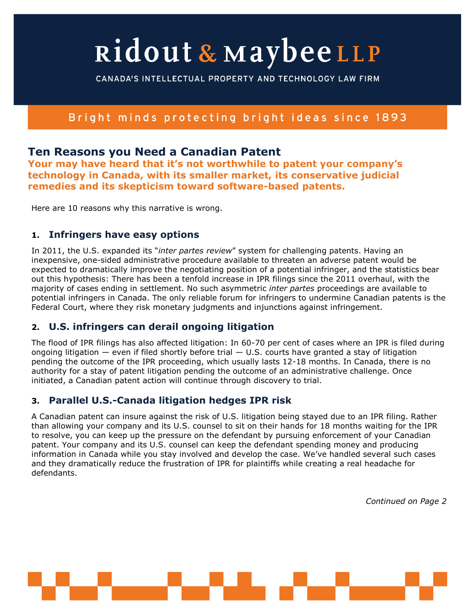# Ridout & MaybeeLLP

CANADA'S INTELLECTUAL PROPERTY AND TECHNOLOGY LAW FIRM

# Bright minds protecting bright ideas since 1893

## **Ten Reasons you Need a Canadian Patent**

**Your may have heard that it's not worthwhile to patent your company's technology in Canada, with its smaller market, its conservative judicial remedies and its skepticism toward software-based patents.**

Here are 10 reasons why this narrative is wrong.

### **1. Infringers have easy options**

In 2011, the U.S. expanded its "*inter partes review*" system for challenging patents. Having an inexpensive, one-sided administrative procedure available to threaten an adverse patent would be expected to dramatically improve the negotiating position of a potential infringer, and the statistics bear out this hypothesis: There has been a tenfold increase in IPR filings since the 2011 overhaul, with the majority of cases ending in settlement. No such asymmetric *inter partes* proceedings are available to potential infringers in Canada. The only reliable forum for infringers to undermine Canadian patents is the Federal Court, where they risk monetary judgments and injunctions against infringement.

## **2. U.S. infringers can derail ongoing litigation**

The flood of IPR filings has also affected litigation: In 60-70 per cent of cases where an IPR is filed during ongoing litigation  $-$  even if filed shortly before trial  $-$  U.S. courts have granted a stay of litigation pending the outcome of the IPR proceeding, which usually lasts 12-18 months. In Canada, there is no authority for a stay of patent litigation pending the outcome of an administrative challenge. Once initiated, a Canadian patent action will continue through discovery to trial.

## **3. Parallel U.S.-Canada litigation hedges IPR risk**

A Canadian patent can insure against the risk of U.S. litigation being stayed due to an IPR filing. Rather than allowing your company and its U.S. counsel to sit on their hands for 18 months waiting for the IPR to resolve, you can keep up the pressure on the defendant by pursuing enforcement of your Canadian patent. Your company and its U.S. counsel can keep the defendant spending money and producing information in Canada while you stay involved and develop the case. We've handled several such cases and they dramatically reduce the frustration of IPR for plaintiffs while creating a real headache for defendants.

*Continued on Page 2*